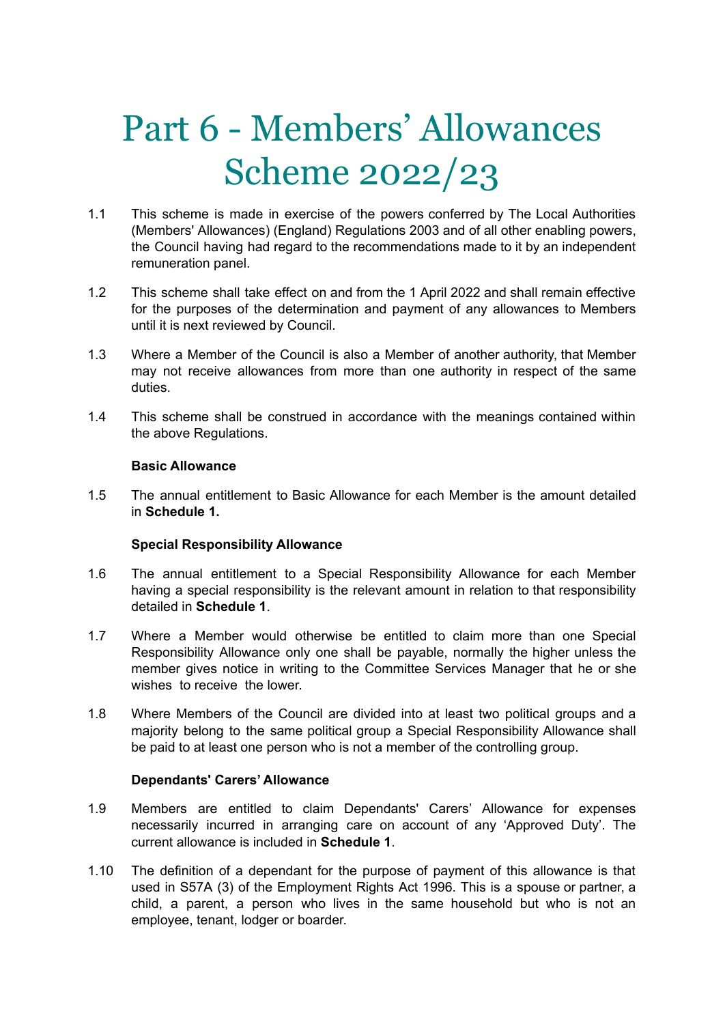# Part 6 - Members' Allowances Scheme 2022/23

- 1.1 This scheme is made in exercise of the powers conferred by The Local Authorities (Members' Allowances) (England) Regulations 2003 and of all other enabling powers, the Council having had regard to the recommendations made to it by an independent remuneration panel.
- 1.2 This scheme shall take effect on and from the 1 April 2022 and shall remain effective for the purposes of the determination and payment of any allowances to Members until it is next reviewed by Council.
- 1.3 Where a Member of the Council is also a Member of another authority, that Member may not receive allowances from more than one authority in respect of the same duties.
- 1.4 This scheme shall be construed in accordance with the meanings contained within the above Regulations.

# **Basic Allowance**

1.5 The annual entitlement to Basic Allowance for each Member is the amount detailed in **Schedule 1.**

# **Special Responsibility Allowance**

- 1.6 The annual entitlement to a Special Responsibility Allowance for each Member having a special responsibility is the relevant amount in relation to that responsibility detailed in **Schedule 1**.
- 1.7 Where a Member would otherwise be entitled to claim more than one Special Responsibility Allowance only one shall be payable, normally the higher unless the member gives notice in writing to the Committee Services Manager that he or she wishes to receive the lower.
- 1.8 Where Members of the Council are divided into at least two political groups and a majority belong to the same political group a Special Responsibility Allowance shall be paid to at least one person who is not a member of the controlling group.

## **Dependants' Carers' Allowance**

- 1.9 Members are entitled to claim Dependants' Carers' Allowance for expenses necessarily incurred in arranging care on account of any 'Approved Duty'. The current allowance is included in **Schedule 1**.
- 1.10 The definition of a dependant for the purpose of payment of this allowance is that used in S57A (3) of the Employment Rights Act 1996. This is a spouse or partner, a child, a parent, a person who lives in the same household but who is not an employee, tenant, lodger or boarder.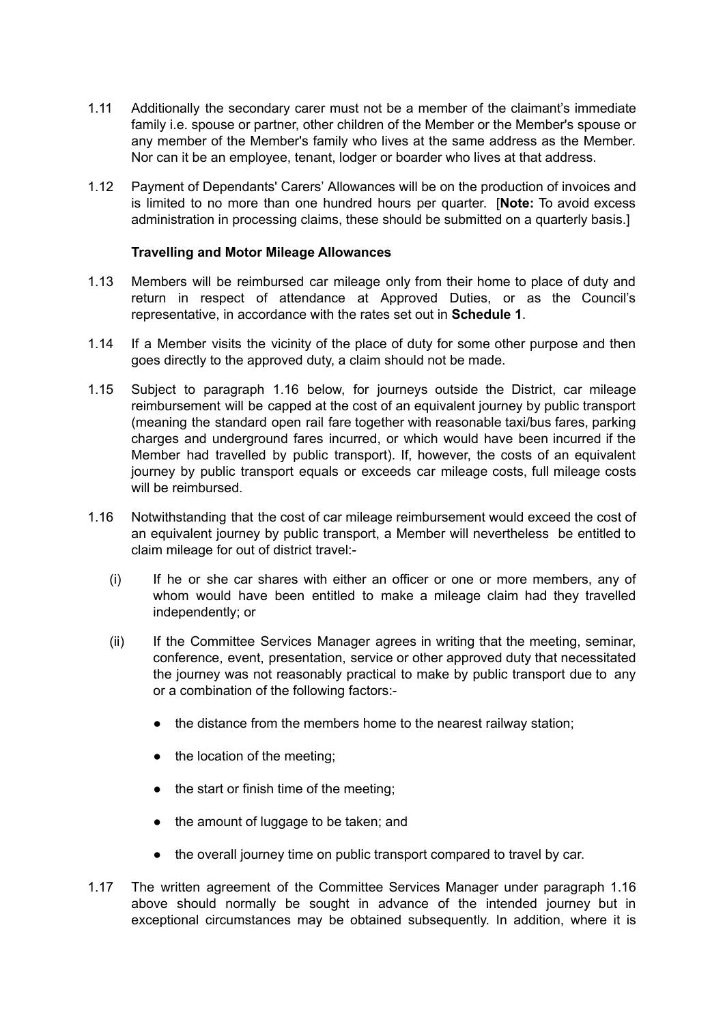- 1.11 Additionally the secondary carer must not be a member of the claimant's immediate family i.e. spouse or partner, other children of the Member or the Member's spouse or any member of the Member's family who lives at the same address as the Member. Nor can it be an employee, tenant, lodger or boarder who lives at that address.
- 1.12 Payment of Dependants' Carers' Allowances will be on the production of invoices and is limited to no more than one hundred hours per quarter. [**Note:** To avoid excess administration in processing claims, these should be submitted on a quarterly basis.]

# **Travelling and Motor Mileage Allowances**

- 1.13 Members will be reimbursed car mileage only from their home to place of duty and return in respect of attendance at Approved Duties, or as the Council's representative, in accordance with the rates set out in **Schedule 1**.
- 1.14 If a Member visits the vicinity of the place of duty for some other purpose and then goes directly to the approved duty, a claim should not be made.
- 1.15 Subject to paragraph 1.16 below, for journeys outside the District, car mileage reimbursement will be capped at the cost of an equivalent journey by public transport (meaning the standard open rail fare together with reasonable taxi/bus fares, parking charges and underground fares incurred, or which would have been incurred if the Member had travelled by public transport). If, however, the costs of an equivalent journey by public transport equals or exceeds car mileage costs, full mileage costs will be reimbursed.
- 1.16 Notwithstanding that the cost of car mileage reimbursement would exceed the cost of an equivalent journey by public transport, a Member will nevertheless be entitled to claim mileage for out of district travel:-
	- (i) If he or she car shares with either an officer or one or more members, any of whom would have been entitled to make a mileage claim had they travelled independently; or
	- (ii) If the Committee Services Manager agrees in writing that the meeting, seminar, conference, event, presentation, service or other approved duty that necessitated the journey was not reasonably practical to make by public transport due to any or a combination of the following factors:-
		- the distance from the members home to the nearest railway station;
		- the location of the meeting;
		- the start or finish time of the meeting;
		- the amount of luggage to be taken; and
		- the overall journey time on public transport compared to travel by car.
- 1.17 The written agreement of the Committee Services Manager under paragraph 1.16 above should normally be sought in advance of the intended journey but in exceptional circumstances may be obtained subsequently. In addition, where it is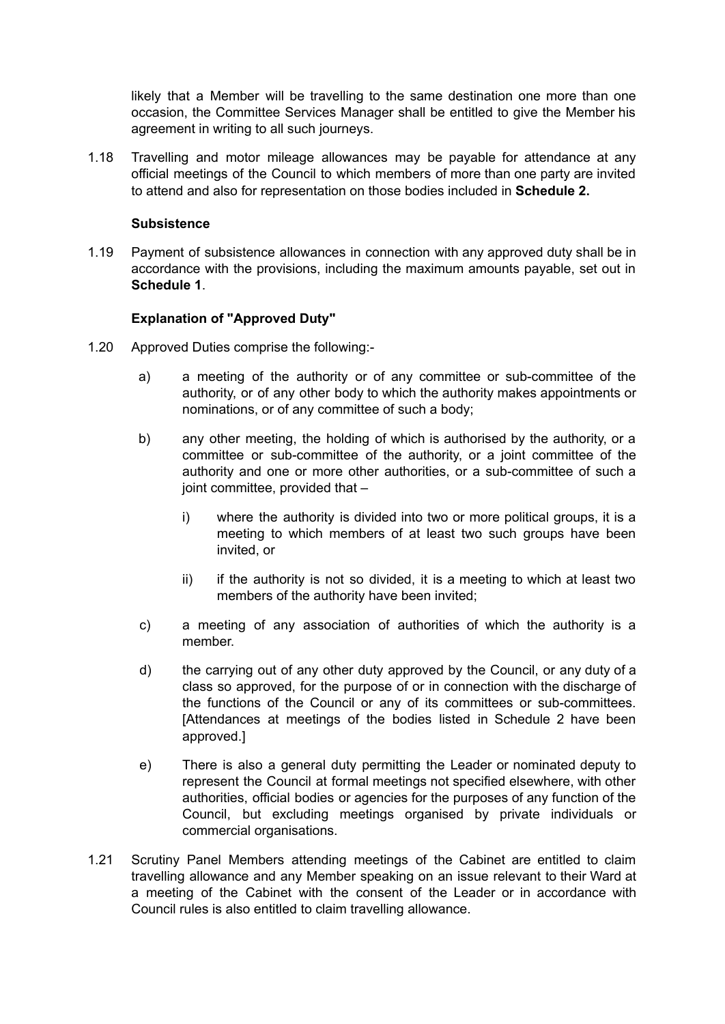likely that a Member will be travelling to the same destination one more than one occasion, the Committee Services Manager shall be entitled to give the Member his agreement in writing to all such journeys.

1.18 Travelling and motor mileage allowances may be payable for attendance at any official meetings of the Council to which members of more than one party are invited to attend and also for representation on those bodies included in **Schedule 2.**

# **Subsistence**

1.19 Payment of subsistence allowances in connection with any approved duty shall be in accordance with the provisions, including the maximum amounts payable, set out in **Schedule 1**.

# **Explanation of "Approved Duty"**

- 1.20 Approved Duties comprise the following:
	- a) a meeting of the authority or of any committee or sub-committee of the authority, or of any other body to which the authority makes appointments or nominations, or of any committee of such a body;
	- b) any other meeting, the holding of which is authorised by the authority, or a committee or sub-committee of the authority, or a joint committee of the authority and one or more other authorities, or a sub-committee of such a joint committee, provided that –
		- i) where the authority is divided into two or more political groups, it is a meeting to which members of at least two such groups have been invited, or
		- $ii)$  if the authority is not so divided, it is a meeting to which at least two members of the authority have been invited;
	- c) a meeting of any association of authorities of which the authority is a member.
	- d) the carrying out of any other duty approved by the Council, or any duty of a class so approved, for the purpose of or in connection with the discharge of the functions of the Council or any of its committees or sub-committees. [Attendances at meetings of the bodies listed in Schedule 2 have been approved.]
	- e) There is also a general duty permitting the Leader or nominated deputy to represent the Council at formal meetings not specified elsewhere, with other authorities, official bodies or agencies for the purposes of any function of the Council, but excluding meetings organised by private individuals or commercial organisations.
- 1.21 Scrutiny Panel Members attending meetings of the Cabinet are entitled to claim travelling allowance and any Member speaking on an issue relevant to their Ward at a meeting of the Cabinet with the consent of the Leader or in accordance with Council rules is also entitled to claim travelling allowance.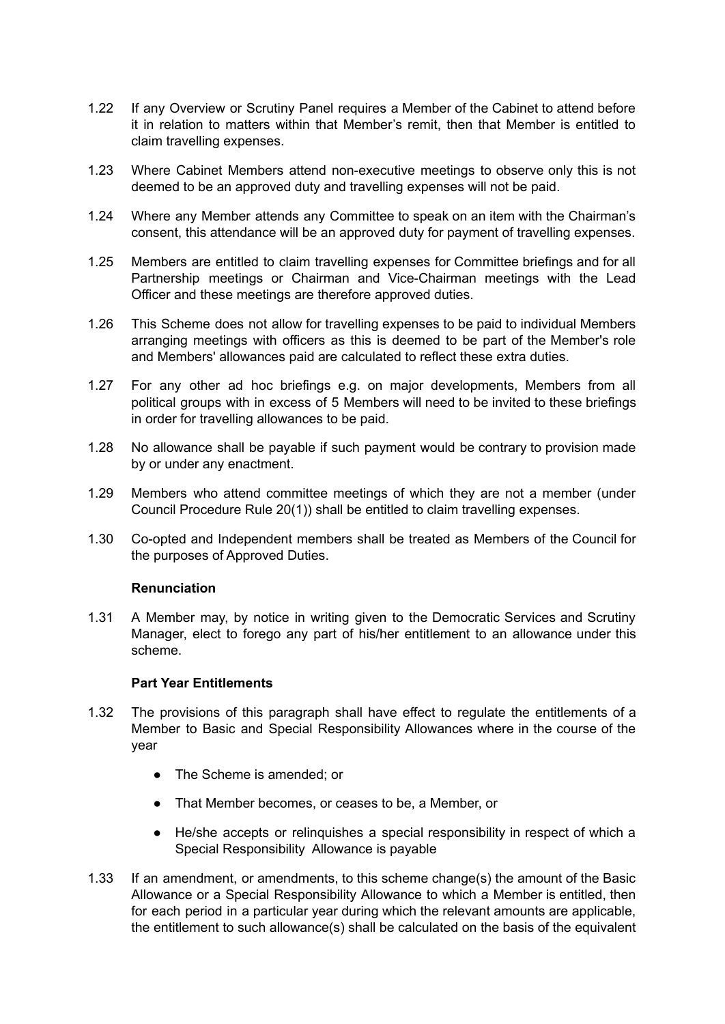- 1.22 If any Overview or Scrutiny Panel requires a Member of the Cabinet to attend before it in relation to matters within that Member's remit, then that Member is entitled to claim travelling expenses.
- 1.23 Where Cabinet Members attend non-executive meetings to observe only this is not deemed to be an approved duty and travelling expenses will not be paid.
- 1.24 Where any Member attends any Committee to speak on an item with the Chairman's consent, this attendance will be an approved duty for payment of travelling expenses.
- 1.25 Members are entitled to claim travelling expenses for Committee briefings and for all Partnership meetings or Chairman and Vice-Chairman meetings with the Lead Officer and these meetings are therefore approved duties.
- 1.26 This Scheme does not allow for travelling expenses to be paid to individual Members arranging meetings with officers as this is deemed to be part of the Member's role and Members' allowances paid are calculated to reflect these extra duties.
- 1.27 For any other ad hoc briefings e.g. on major developments, Members from all political groups with in excess of 5 Members will need to be invited to these briefings in order for travelling allowances to be paid.
- 1.28 No allowance shall be payable if such payment would be contrary to provision made by or under any enactment.
- 1.29 Members who attend committee meetings of which they are not a member (under Council Procedure Rule 20(1)) shall be entitled to claim travelling expenses.
- 1.30 Co-opted and Independent members shall be treated as Members of the Council for the purposes of Approved Duties.

## **Renunciation**

1.31 A Member may, by notice in writing given to the Democratic Services and Scrutiny Manager, elect to forego any part of his/her entitlement to an allowance under this scheme.

## **Part Year Entitlements**

- 1.32 The provisions of this paragraph shall have effect to regulate the entitlements of a Member to Basic and Special Responsibility Allowances where in the course of the year
	- The Scheme is amended; or
	- That Member becomes, or ceases to be, a Member, or
	- He/she accepts or relinquishes a special responsibility in respect of which a Special Responsibility Allowance is payable
- 1.33 If an amendment, or amendments, to this scheme change(s) the amount of the Basic Allowance or a Special Responsibility Allowance to which a Member is entitled, then for each period in a particular year during which the relevant amounts are applicable, the entitlement to such allowance(s) shall be calculated on the basis of the equivalent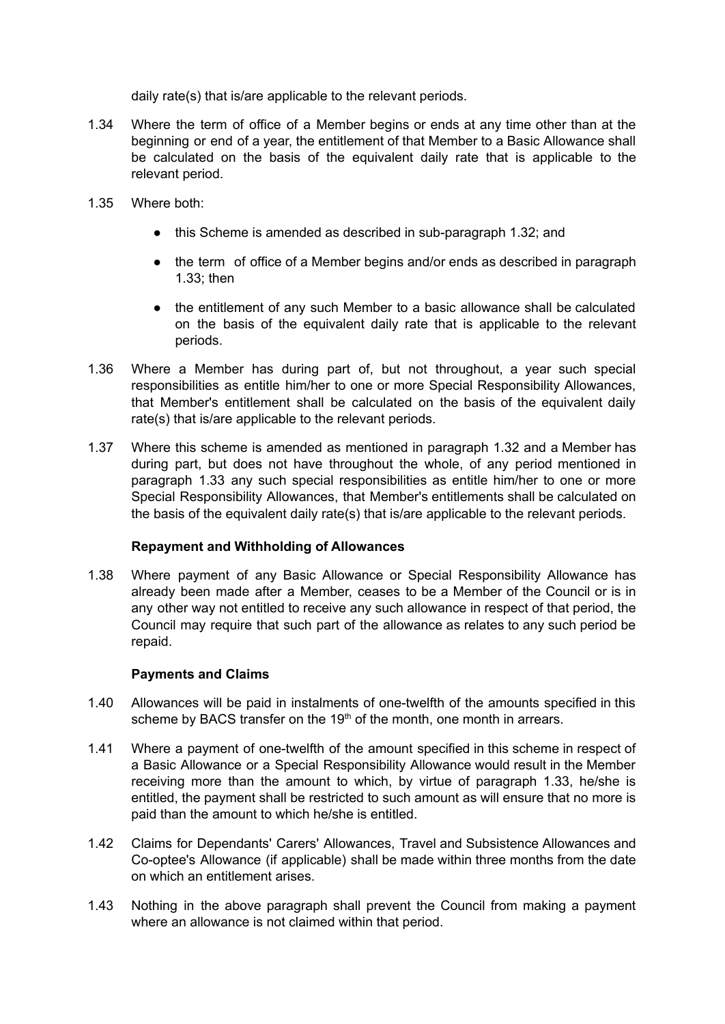daily rate(s) that is/are applicable to the relevant periods.

- 1.34 Where the term of office of a Member begins or ends at any time other than at the beginning or end of a year, the entitlement of that Member to a Basic Allowance shall be calculated on the basis of the equivalent daily rate that is applicable to the relevant period.
- 1.35 Where both:
	- this Scheme is amended as described in sub-paragraph 1.32; and
	- the term of office of a Member begins and/or ends as described in paragraph 1.33; then
	- the entitlement of any such Member to a basic allowance shall be calculated on the basis of the equivalent daily rate that is applicable to the relevant periods.
- 1.36 Where a Member has during part of, but not throughout, a year such special responsibilities as entitle him/her to one or more Special Responsibility Allowances, that Member's entitlement shall be calculated on the basis of the equivalent daily rate(s) that is/are applicable to the relevant periods.
- 1.37 Where this scheme is amended as mentioned in paragraph 1.32 and a Member has during part, but does not have throughout the whole, of any period mentioned in paragraph 1.33 any such special responsibilities as entitle him/her to one or more Special Responsibility Allowances, that Member's entitlements shall be calculated on the basis of the equivalent daily rate(s) that is/are applicable to the relevant periods.

# **Repayment and Withholding of Allowances**

1.38 Where payment of any Basic Allowance or Special Responsibility Allowance has already been made after a Member, ceases to be a Member of the Council or is in any other way not entitled to receive any such allowance in respect of that period, the Council may require that such part of the allowance as relates to any such period be repaid.

# **Payments and Claims**

- 1.40 Allowances will be paid in instalments of one-twelfth of the amounts specified in this scheme by BACS transfer on the  $19<sup>th</sup>$  of the month, one month in arrears.
- 1.41 Where a payment of one-twelfth of the amount specified in this scheme in respect of a Basic Allowance or a Special Responsibility Allowance would result in the Member receiving more than the amount to which, by virtue of paragraph 1.33, he/she is entitled, the payment shall be restricted to such amount as will ensure that no more is paid than the amount to which he/she is entitled.
- 1.42 Claims for Dependants' Carers' Allowances, Travel and Subsistence Allowances and Co-optee's Allowance (if applicable) shall be made within three months from the date on which an entitlement arises.
- 1.43 Nothing in the above paragraph shall prevent the Council from making a payment where an allowance is not claimed within that period.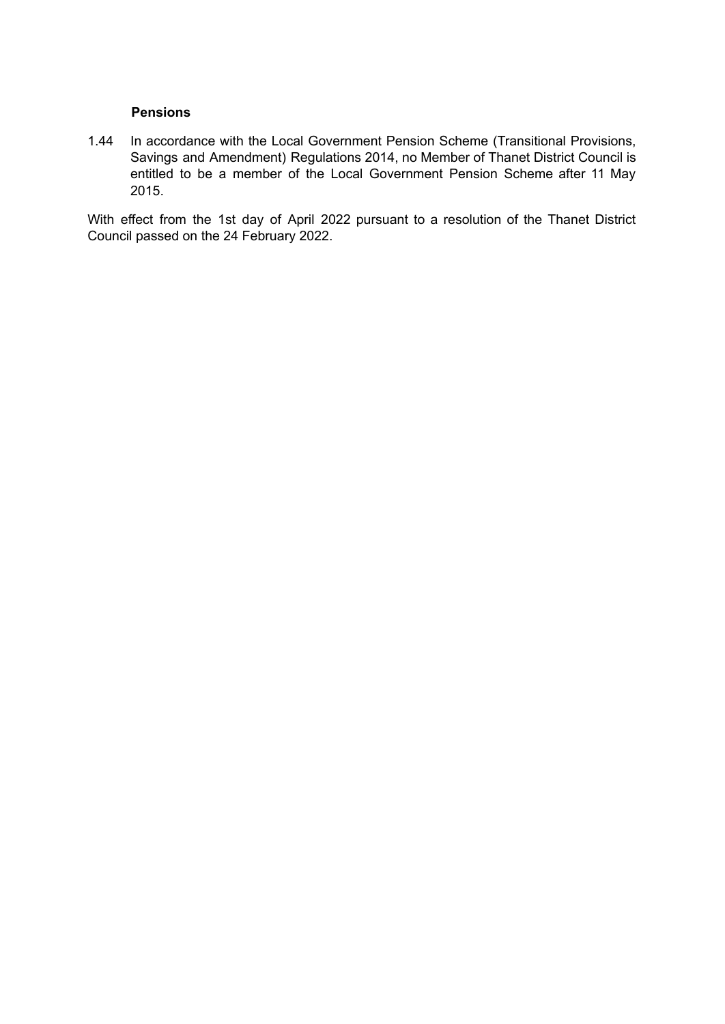## **Pensions**

1.44 In accordance with the Local Government Pension Scheme (Transitional Provisions, Savings and Amendment) Regulations 2014, no Member of Thanet District Council is entitled to be a member of the Local Government Pension Scheme after 11 May 2015.

With effect from the 1st day of April 2022 pursuant to a resolution of the Thanet District Council passed on the 24 February 2022.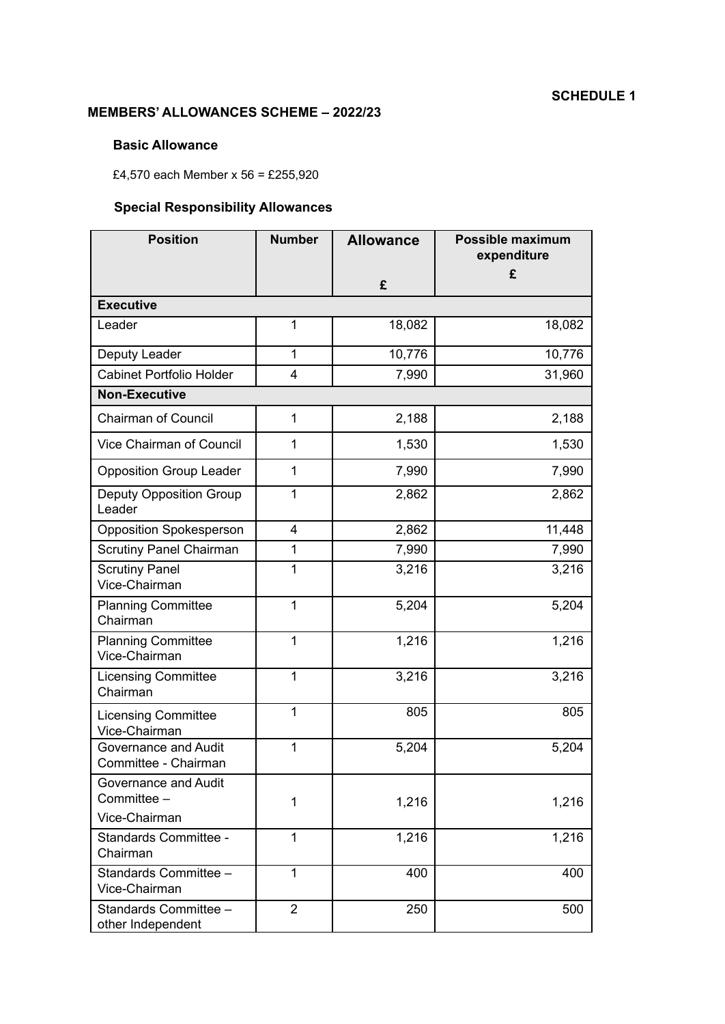# **MEMBERS' ALLOWANCES SCHEME – 2022/23**

# **Basic Allowance**

£4,570 each Member x 56 = £255,920

# **Special Responsibility Allowances**

| <b>Position</b>                                      | <b>Number</b>  | <b>Allowance</b> | Possible maximum<br>expenditure |  |  |
|------------------------------------------------------|----------------|------------------|---------------------------------|--|--|
|                                                      |                | £                | £                               |  |  |
| <b>Executive</b>                                     |                |                  |                                 |  |  |
| Leader                                               | 1              | 18,082           | 18,082                          |  |  |
| Deputy Leader                                        | 1              | 10,776           | 10,776                          |  |  |
| <b>Cabinet Portfolio Holder</b>                      | $\overline{4}$ | 7,990            | 31,960                          |  |  |
| <b>Non-Executive</b>                                 |                |                  |                                 |  |  |
| <b>Chairman of Council</b>                           | 1              | 2,188            | 2,188                           |  |  |
| Vice Chairman of Council                             | 1              | 1,530            | 1,530                           |  |  |
| <b>Opposition Group Leader</b>                       | 1              | 7,990            | 7,990                           |  |  |
| <b>Deputy Opposition Group</b><br>Leader             | 1              | 2,862            | 2,862                           |  |  |
| <b>Opposition Spokesperson</b>                       | 4              | 2,862            | 11,448                          |  |  |
| <b>Scrutiny Panel Chairman</b>                       | 1              | 7,990            | 7,990                           |  |  |
| <b>Scrutiny Panel</b><br>Vice-Chairman               | 1              | 3,216            | 3,216                           |  |  |
| <b>Planning Committee</b><br>Chairman                | 1              | 5,204            | 5,204                           |  |  |
| <b>Planning Committee</b><br>Vice-Chairman           | 1              | 1,216            | 1,216                           |  |  |
| <b>Licensing Committee</b><br>Chairman               | $\mathbf{1}$   | 3,216            | 3,216                           |  |  |
| <b>Licensing Committee</b><br>Vice-Chairman          | 1              | 805              | 805                             |  |  |
| Governance and Audit<br>Committee - Chairman         | 1              | 5,204            | 5,204                           |  |  |
| Governance and Audit<br>Committee -<br>Vice-Chairman | 1              | 1,216            | 1,216                           |  |  |
| Standards Committee -                                | 1              | 1,216            | 1,216                           |  |  |
| Chairman                                             |                |                  |                                 |  |  |
| Standards Committee -<br>Vice-Chairman               | 1              | 400              | 400                             |  |  |
| Standards Committee -<br>other Independent           | $\overline{2}$ | 250              | 500                             |  |  |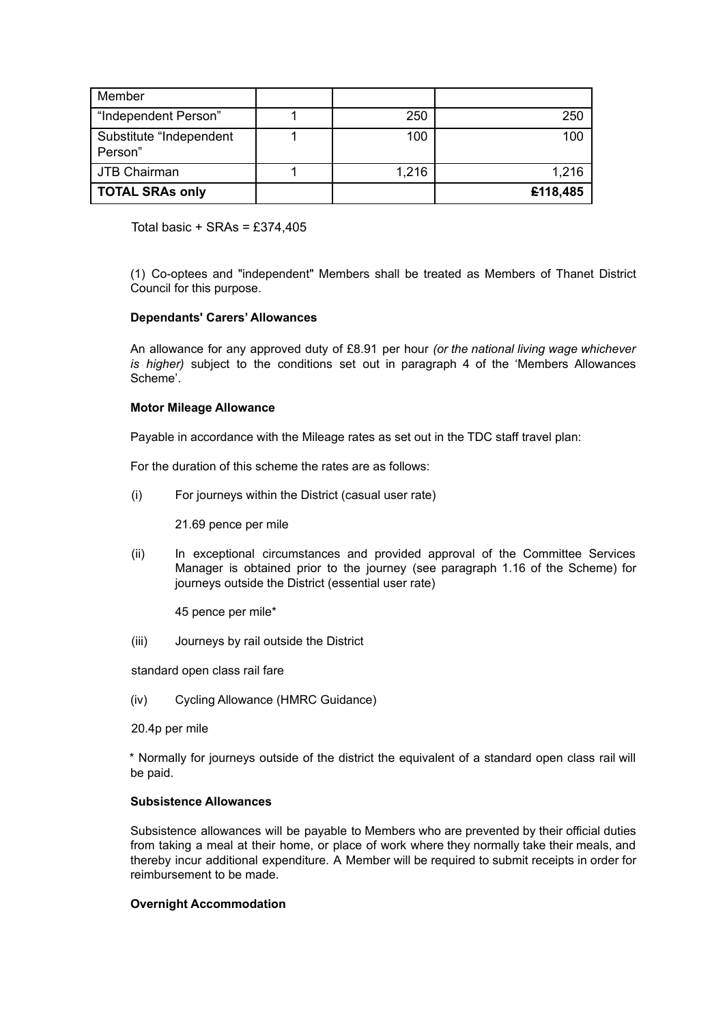| Member                             |       |          |
|------------------------------------|-------|----------|
| "Independent Person"               | 250   | 250      |
| Substitute "Independent<br>Person" | 100   | 100      |
| JTB Chairman                       | 1,216 | 1,216    |
| <b>TOTAL SRAs only</b>             |       | £118,485 |

Total basic  $+$  SRAs = £374,405

(1) Co-optees and "independent" Members shall be treated as Members of Thanet District Council for this purpose.

## **Dependants' Carers' Allowances**

An allowance for any approved duty of £8.91 per hour *(or the national living wage whichever is higher)* subject to the conditions set out in paragraph 4 of the 'Members Allowances Scheme'.

#### **Motor Mileage Allowance**

Payable in accordance with the Mileage rates as set out in the TDC staff travel plan:

For the duration of this scheme the rates are as follows:

(i) For journeys within the District (casual user rate)

21.69 pence per mile

(ii) In exceptional circumstances and provided approval of the Committee Services Manager is obtained prior to the journey (see paragraph 1.16 of the Scheme) for journeys outside the District (essential user rate)

45 pence per mile\*

(iii) Journeys by rail outside the District

standard open class rail fare

(iv) Cycling Allowance (HMRC Guidance)

20.4p per mile

\* Normally for journeys outside of the district the equivalent of a standard open class rail will be paid.

#### **Subsistence Allowances**

Subsistence allowances will be payable to Members who are prevented by their official duties from taking a meal at their home, or place of work where they normally take their meals, and thereby incur additional expenditure. A Member will be required to submit receipts in order for reimbursement to be made.

## **Overnight Accommodation**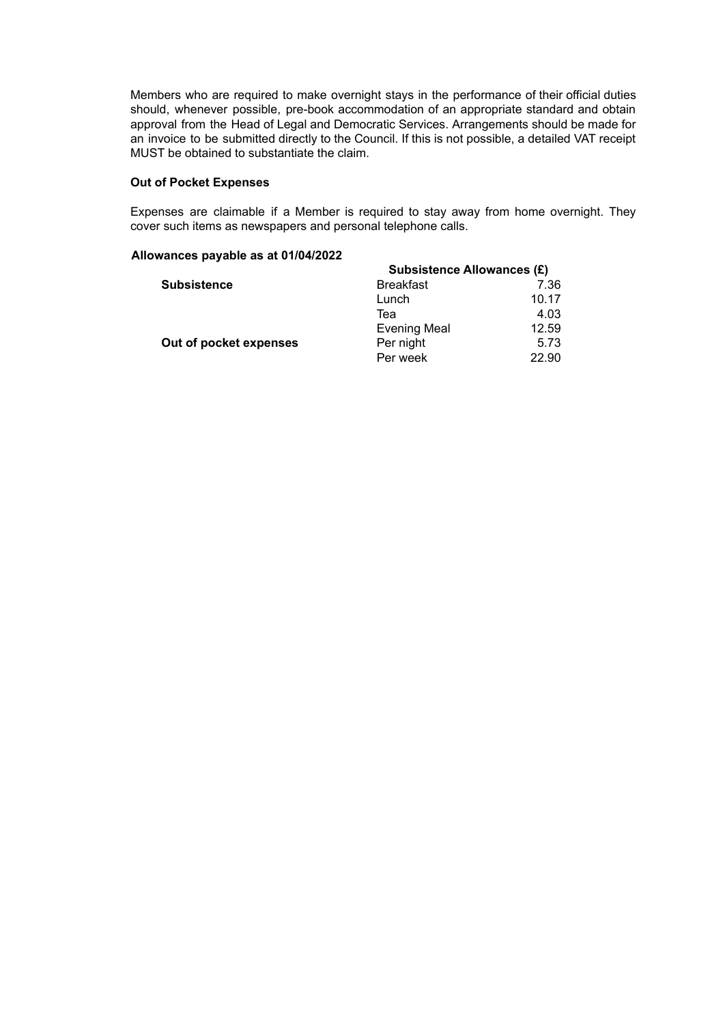Members who are required to make overnight stays in the performance of their official duties should, whenever possible, pre-book accommodation of an appropriate standard and obtain approval from the Head of Legal and Democratic Services. Arrangements should be made for an invoice to be submitted directly to the Council. If this is not possible, a detailed VAT receipt MUST be obtained to substantiate the claim.

#### **Out of Pocket Expenses**

Expenses are claimable if a Member is required to stay away from home overnight. They cover such items as newspapers and personal telephone calls.

#### **Allowances payable as at 01/04/2022**

|                        | <b>Subsistence Allowances (£)</b> |       |  |
|------------------------|-----------------------------------|-------|--|
| <b>Subsistence</b>     | <b>Breakfast</b>                  | 7.36  |  |
|                        | Lunch                             | 10.17 |  |
|                        | Теа                               | 4.03  |  |
|                        | <b>Evening Meal</b>               | 12.59 |  |
| Out of pocket expenses | Per night                         | 5.73  |  |
|                        | Per week                          | 22.90 |  |